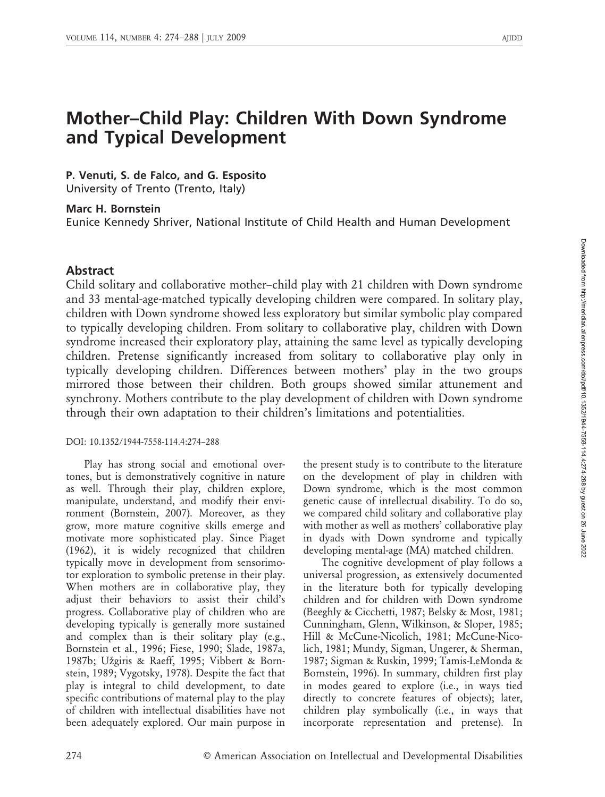# Mother–Child Play: Children With Down Syndrome and Typical Development

## P. Venuti, S. de Falco, and G. Esposito

University of Trento (Trento, Italy)

## Marc H. Bornstein

Eunice Kennedy Shriver, National Institute of Child Health and Human Development

## Abstract

Child solitary and collaborative mother–child play with 21 children with Down syndrome and 33 mental-age-matched typically developing children were compared. In solitary play, children with Down syndrome showed less exploratory but similar symbolic play compared to typically developing children. From solitary to collaborative play, children with Down syndrome increased their exploratory play, attaining the same level as typically developing children. Pretense significantly increased from solitary to collaborative play only in typically developing children. Differences between mothers' play in the two groups mirrored those between their children. Both groups showed similar attunement and synchrony. Mothers contribute to the play development of children with Down syndrome through their own adaptation to their children's limitations and potentialities.

## DOI: 10.1352/1944-7558-114.4:274–288

Play has strong social and emotional overtones, but is demonstratively cognitive in nature as well. Through their play, children explore, manipulate, understand, and modify their environment (Bornstein, 2007). Moreover, as they grow, more mature cognitive skills emerge and motivate more sophisticated play. Since Piaget (1962), it is widely recognized that children typically move in development from sensorimotor exploration to symbolic pretense in their play. When mothers are in collaborative play, they adjust their behaviors to assist their child's progress. Collaborative play of children who are developing typically is generally more sustained and complex than is their solitary play (e.g., Bornstein et al., 1996; Fiese, 1990; Slade, 1987a, 1987b; Užgiris & Raeff, 1995; Vibbert & Bornstein, 1989; Vygotsky, 1978). Despite the fact that play is integral to child development, to date specific contributions of maternal play to the play of children with intellectual disabilities have not been adequately explored. Our main purpose in

the present study is to contribute to the literature on the development of play in children with Down syndrome, which is the most common genetic cause of intellectual disability. To do so, we compared child solitary and collaborative play with mother as well as mothers' collaborative play in dyads with Down syndrome and typically developing mental-age (MA) matched children.

The cognitive development of play follows a universal progression, as extensively documented in the literature both for typically developing children and for children with Down syndrome (Beeghly & Cicchetti, 1987; Belsky & Most, 1981; Cunningham, Glenn, Wilkinson, & Sloper, 1985; Hill & McCune-Nicolich, 1981; McCune-Nicolich, 1981; Mundy, Sigman, Ungerer, & Sherman, 1987; Sigman & Ruskin, 1999; Tamis-LeMonda & Bornstein, 1996). In summary, children first play in modes geared to explore (i.e., in ways tied directly to concrete features of objects); later, children play symbolically (i.e., in ways that incorporate representation and pretense). In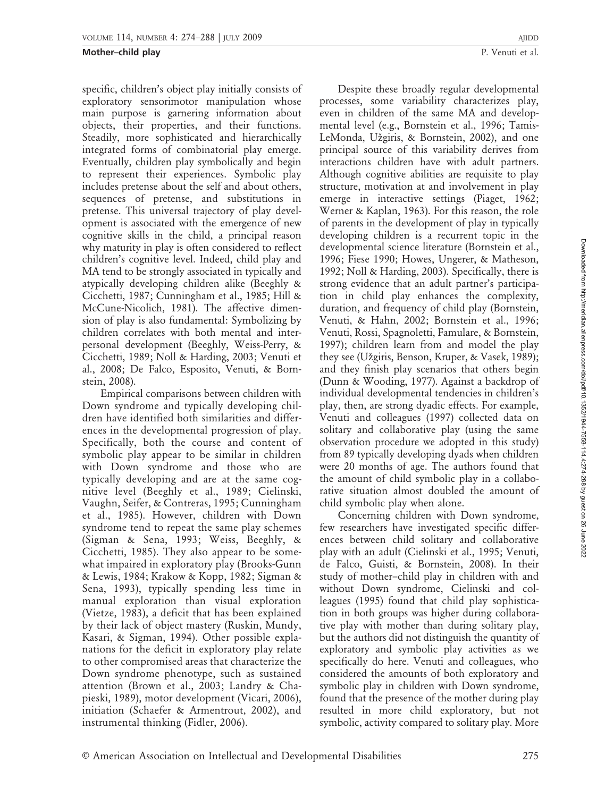specific, children's object play initially consists of exploratory sensorimotor manipulation whose main purpose is garnering information about objects, their properties, and their functions. Steadily, more sophisticated and hierarchically integrated forms of combinatorial play emerge. Eventually, children play symbolically and begin to represent their experiences. Symbolic play includes pretense about the self and about others, sequences of pretense, and substitutions in pretense. This universal trajectory of play development is associated with the emergence of new cognitive skills in the child, a principal reason why maturity in play is often considered to reflect children's cognitive level. Indeed, child play and MA tend to be strongly associated in typically and atypically developing children alike (Beeghly & Cicchetti, 1987; Cunningham et al., 1985; Hill & McCune-Nicolich, 1981). The affective dimension of play is also fundamental: Symbolizing by children correlates with both mental and interpersonal development (Beeghly, Weiss-Perry, & Cicchetti, 1989; Noll & Harding, 2003; Venuti et al., 2008; De Falco, Esposito, Venuti, & Bornstein, 2008).

Empirical comparisons between children with Down syndrome and typically developing children have identified both similarities and differences in the developmental progression of play. Specifically, both the course and content of symbolic play appear to be similar in children with Down syndrome and those who are typically developing and are at the same cognitive level (Beeghly et al., 1989; Cielinski, Vaughn, Seifer, & Contreras, 1995; Cunningham et al., 1985). However, children with Down syndrome tend to repeat the same play schemes (Sigman & Sena, 1993; Weiss, Beeghly, & Cicchetti, 1985). They also appear to be somewhat impaired in exploratory play (Brooks-Gunn & Lewis, 1984; Krakow & Kopp, 1982; Sigman & Sena, 1993), typically spending less time in manual exploration than visual exploration (Vietze, 1983), a deficit that has been explained by their lack of object mastery (Ruskin, Mundy, Kasari, & Sigman, 1994). Other possible explanations for the deficit in exploratory play relate to other compromised areas that characterize the Down syndrome phenotype, such as sustained attention (Brown et al., 2003; Landry & Chapieski, 1989), motor development (Vicari, 2006), initiation (Schaefer & Armentrout, 2002), and instrumental thinking (Fidler, 2006).

Despite these broadly regular developmental processes, some variability characterizes play, even in children of the same MA and developmental level (e.g., Bornstein et al., 1996; Tamis-LeMonda, Užgiris, & Bornstein, 2002), and one principal source of this variability derives from interactions children have with adult partners. Although cognitive abilities are requisite to play structure, motivation at and involvement in play emerge in interactive settings (Piaget, 1962; Werner & Kaplan, 1963). For this reason, the role of parents in the development of play in typically developing children is a recurrent topic in the developmental science literature (Bornstein et al., 1996; Fiese 1990; Howes, Ungerer, & Matheson, 1992; Noll & Harding, 2003). Specifically, there is strong evidence that an adult partner's participation in child play enhances the complexity, duration, and frequency of child play (Bornstein, Venuti, & Hahn, 2002; Bornstein et al., 1996; Venuti, Rossi, Spagnoletti, Famulare, & Bornstein, 1997); children learn from and model the play they see (Užgiris, Benson, Kruper, & Vasek, 1989); and they finish play scenarios that others begin (Dunn & Wooding, 1977). Against a backdrop of individual developmental tendencies in children's play, then, are strong dyadic effects. For example, Venuti and colleagues (1997) collected data on solitary and collaborative play (using the same observation procedure we adopted in this study) from 89 typically developing dyads when children were 20 months of age. The authors found that the amount of child symbolic play in a collaborative situation almost doubled the amount of child symbolic play when alone.

Concerning children with Down syndrome, few researchers have investigated specific differences between child solitary and collaborative play with an adult (Cielinski et al., 1995; Venuti, de Falco, Guisti, & Bornstein, 2008). In their study of mother–child play in children with and without Down syndrome, Cielinski and colleagues (1995) found that child play sophistication in both groups was higher during collaborative play with mother than during solitary play, but the authors did not distinguish the quantity of exploratory and symbolic play activities as we specifically do here. Venuti and colleagues, who considered the amounts of both exploratory and symbolic play in children with Down syndrome, found that the presence of the mother during play resulted in more child exploratory, but not symbolic, activity compared to solitary play. More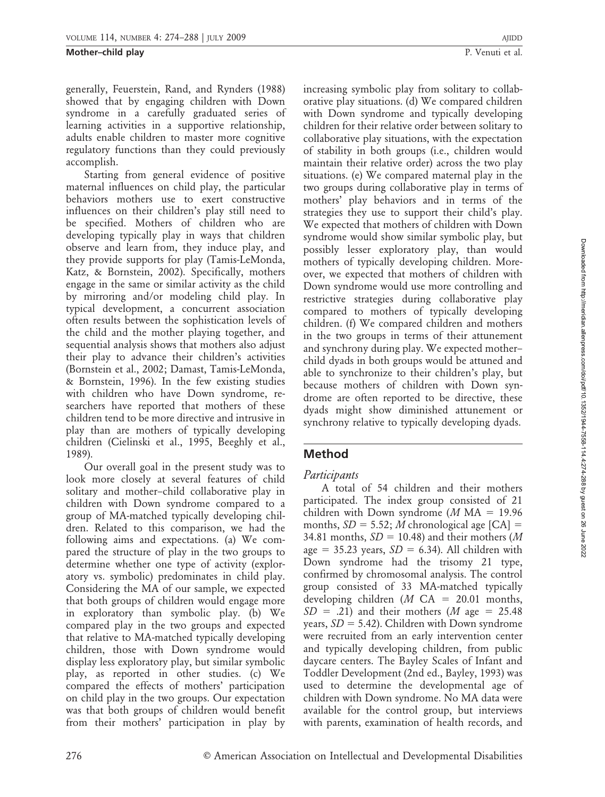generally, Feuerstein, Rand, and Rynders (1988) showed that by engaging children with Down syndrome in a carefully graduated series of learning activities in a supportive relationship, adults enable children to master more cognitive regulatory functions than they could previously accomplish.

Starting from general evidence of positive maternal influences on child play, the particular behaviors mothers use to exert constructive influences on their children's play still need to be specified. Mothers of children who are developing typically play in ways that children observe and learn from, they induce play, and they provide supports for play (Tamis-LeMonda, Katz, & Bornstein, 2002). Specifically, mothers engage in the same or similar activity as the child by mirroring and/or modeling child play. In typical development, a concurrent association often results between the sophistication levels of the child and the mother playing together, and sequential analysis shows that mothers also adjust their play to advance their children's activities (Bornstein et al., 2002; Damast, Tamis-LeMonda, & Bornstein, 1996). In the few existing studies with children who have Down syndrome, researchers have reported that mothers of these children tend to be more directive and intrusive in play than are mothers of typically developing children (Cielinski et al., 1995, Beeghly et al., 1989).

Our overall goal in the present study was to look more closely at several features of child solitary and mother–child collaborative play in children with Down syndrome compared to a group of MA-matched typically developing children. Related to this comparison, we had the following aims and expectations. (a) We compared the structure of play in the two groups to determine whether one type of activity (exploratory vs. symbolic) predominates in child play. Considering the MA of our sample, we expected that both groups of children would engage more in exploratory than symbolic play. (b) We compared play in the two groups and expected that relative to MA-matched typically developing children, those with Down syndrome would display less exploratory play, but similar symbolic play, as reported in other studies. (c) We compared the effects of mothers' participation on child play in the two groups. Our expectation was that both groups of children would benefit from their mothers' participation in play by

increasing symbolic play from solitary to collaborative play situations. (d) We compared children with Down syndrome and typically developing children for their relative order between solitary to collaborative play situations, with the expectation of stability in both groups (i.e., children would maintain their relative order) across the two play situations. (e) We compared maternal play in the two groups during collaborative play in terms of mothers' play behaviors and in terms of the strategies they use to support their child's play. We expected that mothers of children with Down syndrome would show similar symbolic play, but possibly lesser exploratory play, than would mothers of typically developing children. Moreover, we expected that mothers of children with Down syndrome would use more controlling and restrictive strategies during collaborative play compared to mothers of typically developing children. (f) We compared children and mothers

in the two groups in terms of their attunement and synchrony during play. We expected mother– child dyads in both groups would be attuned and able to synchronize to their children's play, but because mothers of children with Down syndrome are often reported to be directive, these dyads might show diminished attunement or synchrony relative to typically developing dyads.

Participants

Method

A total of 54 children and their mothers participated. The index group consisted of 21 children with Down syndrome  $(M MA = 19.96$ months,  $SD = 5.52$ ; *M* chronological age [CA] = 34.81 months,  $SD = 10.48$ ) and their mothers (M age = 35.23 years,  $SD = 6.34$ ). All children with Down syndrome had the trisomy 21 type, confirmed by chromosomal analysis. The control group consisted of 33 MA-matched typically developing children (*M* CA = 20.01 months,  $SD = .21$ ) and their mothers (*M* age = 25.48 years,  $SD = 5.42$ ). Children with Down syndrome were recruited from an early intervention center and typically developing children, from public daycare centers. The Bayley Scales of Infant and Toddler Development (2nd ed., Bayley, 1993) was used to determine the developmental age of children with Down syndrome. No MA data were available for the control group, but interviews with parents, examination of health records, and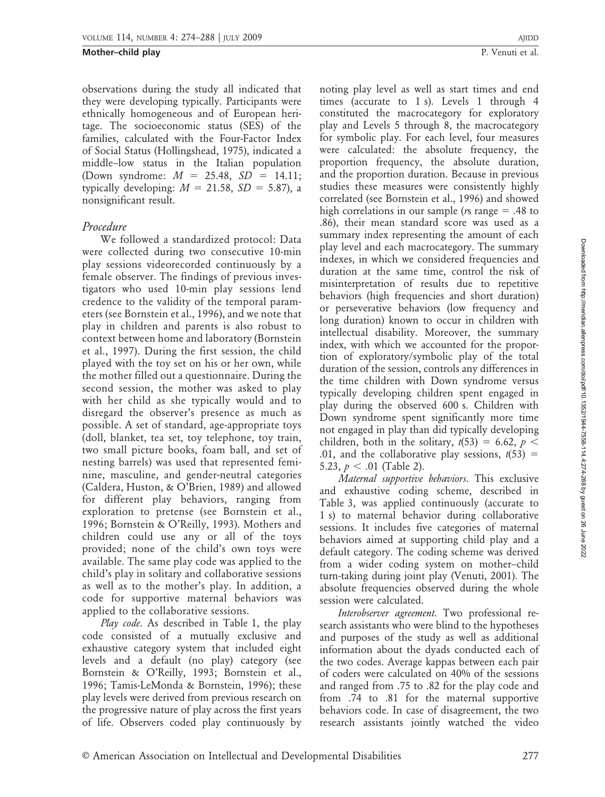observations during the study all indicated that they were developing typically. Participants were ethnically homogeneous and of European heritage. The socioeconomic status (SES) of the families, calculated with the Four-Factor Index of Social Status (Hollingshead, 1975), indicated a middle–low status in the Italian population (Down syndrome:  $M = 25.48$ ,  $SD = 14.11$ ; typically developing:  $M = 21.58$ ,  $SD = 5.87$ ), a nonsignificant result.

## Procedure

We followed a standardized protocol: Data were collected during two consecutive 10-min play sessions videorecorded continuously by a female observer. The findings of previous investigators who used 10-min play sessions lend credence to the validity of the temporal parameters (see Bornstein et al., 1996), and we note that play in children and parents is also robust to context between home and laboratory (Bornstein et al., 1997). During the first session, the child played with the toy set on his or her own, while the mother filled out a questionnaire. During the second session, the mother was asked to play with her child as she typically would and to disregard the observer's presence as much as possible. A set of standard, age-appropriate toys (doll, blanket, tea set, toy telephone, toy train, two small picture books, foam ball, and set of nesting barrels) was used that represented feminine, masculine, and gender-neutral categories (Caldera, Huston, & O'Brien, 1989) and allowed for different play behaviors, ranging from exploration to pretense (see Bornstein et al., 1996; Bornstein & O'Reilly, 1993). Mothers and children could use any or all of the toys provided; none of the child's own toys were available. The same play code was applied to the child's play in solitary and collaborative sessions as well as to the mother's play. In addition, a code for supportive maternal behaviors was applied to the collaborative sessions.

Play code. As described in Table 1, the play code consisted of a mutually exclusive and exhaustive category system that included eight levels and a default (no play) category (see Bornstein & O'Reilly, 1993; Bornstein et al., 1996; Tamis-LeMonda & Bornstein, 1996); these play levels were derived from previous research on the progressive nature of play across the first years of life. Observers coded play continuously by

noting play level as well as start times and end times (accurate to 1 s). Levels 1 through 4 constituted the macrocategory for exploratory play and Levels 5 through 8, the macrocategory for symbolic play. For each level, four measures were calculated: the absolute frequency, the proportion frequency, the absolute duration, and the proportion duration. Because in previous studies these measures were consistently highly correlated (see Bornstein et al., 1996) and showed high correlations in our sample ( $rs$  range  $= .48$  to .86), their mean standard score was used as a summary index representing the amount of each play level and each macrocategory. The summary indexes, in which we considered frequencies and duration at the same time, control the risk of misinterpretation of results due to repetitive behaviors (high frequencies and short duration) or perseverative behaviors (low frequency and long duration) known to occur in children with intellectual disability. Moreover, the summary index, with which we accounted for the proportion of exploratory/symbolic play of the total duration of the session, controls any differences in the time children with Down syndrome versus typically developing children spent engaged in play during the observed 600 s. Children with Down syndrome spent significantly more time not engaged in play than did typically developing children, both in the solitary,  $t(53) = 6.62$ ,  $p <$ .01, and the collaborative play sessions,  $t(53) =$ 5.23,  $p < .01$  (Table 2).

Maternal supportive behaviors. This exclusive and exhaustive coding scheme, described in Table 3, was applied continuously (accurate to 1 s) to maternal behavior during collaborative sessions. It includes five categories of maternal behaviors aimed at supporting child play and a default category. The coding scheme was derived from a wider coding system on mother–child turn-taking during joint play (Venuti, 2001). The absolute frequencies observed during the whole session were calculated.

Interobserver agreement. Two professional research assistants who were blind to the hypotheses and purposes of the study as well as additional information about the dyads conducted each of the two codes. Average kappas between each pair of coders were calculated on 40% of the sessions and ranged from .75 to .82 for the play code and from .74 to .81 for the maternal supportive behaviors code. In case of disagreement, the two research assistants jointly watched the video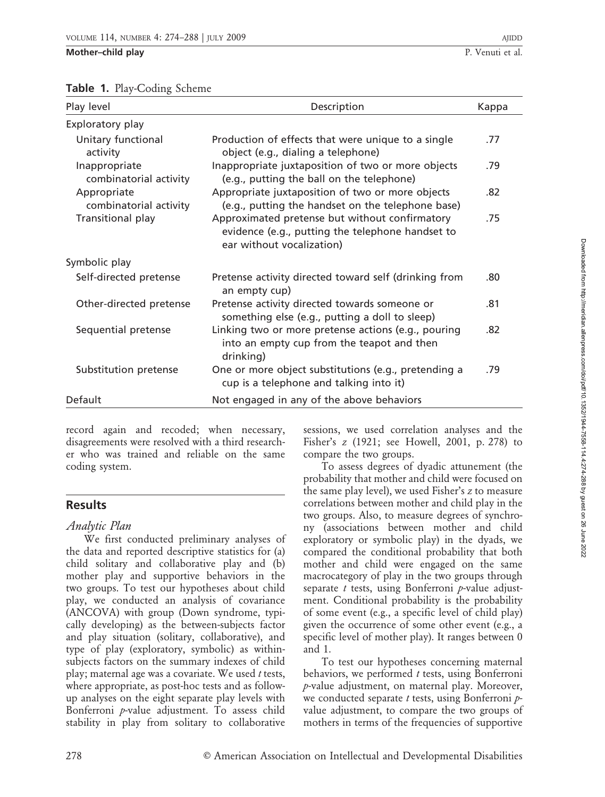| Play level                              | Description                                                                                                                     | Kappa |
|-----------------------------------------|---------------------------------------------------------------------------------------------------------------------------------|-------|
| Exploratory play                        |                                                                                                                                 |       |
| Unitary functional<br>activity          | Production of effects that were unique to a single<br>object (e.g., dialing a telephone)                                        | .77   |
| Inappropriate<br>combinatorial activity | Inappropriate juxtaposition of two or more objects<br>(e.g., putting the ball on the telephone)                                 | .79   |
| Appropriate<br>combinatorial activity   | Appropriate juxtaposition of two or more objects<br>(e.g., putting the handset on the telephone base)                           | .82   |
| Transitional play                       | Approximated pretense but without confirmatory<br>evidence (e.g., putting the telephone handset to<br>ear without vocalization) | .75   |
| Symbolic play                           |                                                                                                                                 |       |
| Self-directed pretense                  | Pretense activity directed toward self (drinking from<br>an empty cup)                                                          | .80   |
| Other-directed pretense                 | Pretense activity directed towards someone or<br>something else (e.g., putting a doll to sleep)                                 | .81   |
| Sequential pretense                     | Linking two or more pretense actions (e.g., pouring<br>into an empty cup from the teapot and then<br>drinking)                  | .82   |
| Substitution pretense                   | One or more object substitutions (e.g., pretending a<br>cup is a telephone and talking into it)                                 | .79   |
| Default                                 | Not engaged in any of the above behaviors                                                                                       |       |

## Table 1. Play-Coding Scheme

record again and recoded; when necessary, disagreements were resolved with a third researcher who was trained and reliable on the same coding system.

## **Results**

## Analytic Plan

We first conducted preliminary analyses of the data and reported descriptive statistics for (a) child solitary and collaborative play and (b) mother play and supportive behaviors in the two groups. To test our hypotheses about child play, we conducted an analysis of covariance (ANCOVA) with group (Down syndrome, typically developing) as the between-subjects factor and play situation (solitary, collaborative), and type of play (exploratory, symbolic) as withinsubjects factors on the summary indexes of child play; maternal age was a covariate. We used  $t$  tests, where appropriate, as post-hoc tests and as followup analyses on the eight separate play levels with Bonferroni p-value adjustment. To assess child stability in play from solitary to collaborative

sessions, we used correlation analyses and the Fisher's z (1921; see Howell, 2001, p. 278) to compare the two groups.

To assess degrees of dyadic attunement (the probability that mother and child were focused on the same play level), we used Fisher's z to measure correlations between mother and child play in the two groups. Also, to measure degrees of synchrony (associations between mother and child exploratory or symbolic play) in the dyads, we compared the conditional probability that both mother and child were engaged on the same macrocategory of play in the two groups through separate  $t$  tests, using Bonferroni  $p$ -value adjustment. Conditional probability is the probability of some event (e.g., a specific level of child play) given the occurrence of some other event (e.g., a specific level of mother play). It ranges between 0 and 1.

To test our hypotheses concerning maternal behaviors, we performed  $t$  tests, using Bonferroni p-value adjustment, on maternal play. Moreover, we conducted separate t tests, using Bonferroni  $p$ value adjustment, to compare the two groups of mothers in terms of the frequencies of supportive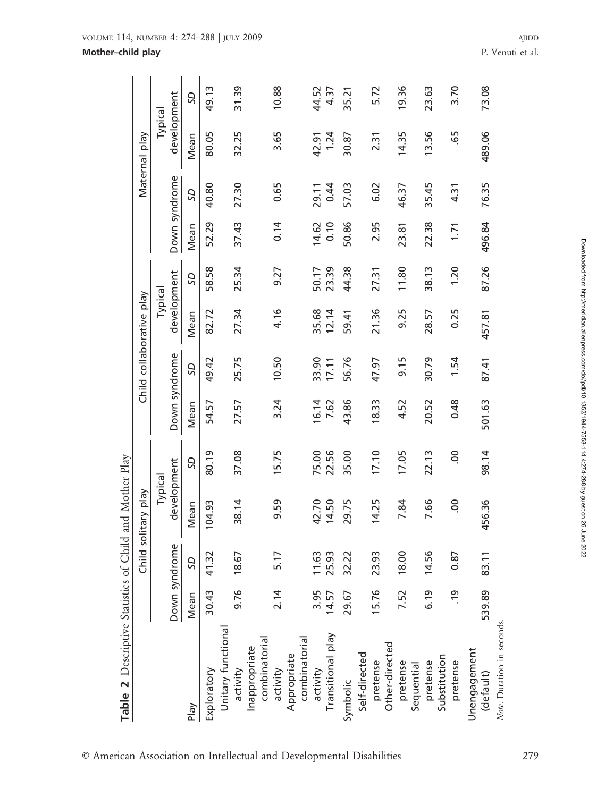| Table 2 Descriptive Statistics of Child and Mother Play |               |                |                     |                |               |                          |             |           |        |               |               |       |
|---------------------------------------------------------|---------------|----------------|---------------------|----------------|---------------|--------------------------|-------------|-----------|--------|---------------|---------------|-------|
|                                                         |               |                | Child solitary play |                |               | Child collaborative play |             |           |        |               | Maternal play |       |
|                                                         |               |                | Typical             |                |               |                          | Typical     |           |        |               | Typical       |       |
|                                                         |               | Down syndrome  | development         |                | Down syndrome |                          | development |           |        | Down syndrome | development   |       |
| Play                                                    | Mean          | SQ             | Mean                | <b>GS</b>      | Mean          | <b>GS</b>                | Mean        | <b>GS</b> | Mean   | <b>GS</b>     | Mean          | SD    |
| Exploratory                                             | 30.43         | 41.32          | 104.93              | 80.19          | 54.57         | 49.42                    | 82.72       | 58.58     | 52.29  | 40.80         | 80.05         | 49.13 |
| Unitary functional                                      |               |                |                     |                |               |                          |             |           |        |               |               |       |
| activity                                                | 9.76          | 18.67          | 38.14               | 37.08          | 27.57         | 25.75                    | 27.34       | 25.34     | 37.43  | 27.30         | 32.25         | 31.39 |
| combinatorial<br>Inappropriate                          |               |                |                     |                |               |                          |             |           |        |               |               |       |
| activity                                                | 2.14          | 5.17           | 9.59                | 15.75          | 3.24          | 10.50                    | 4.16        | 9.27      | 0.14   | 0.65          | 3.65          | 10.88 |
| combinatorial<br>Appropriate                            |               |                |                     |                |               |                          |             |           |        |               |               |       |
| activity                                                | 3.95          |                | 42.70               | 75.00          | 16.14         | 33.90                    | 35.68       | 50.17     | 14.62  | 29.11         | 42.91         | 44.52 |
| Transitional play                                       | 14.57         | 11.63<br>25.93 | 14.50               | 22.56          | 7.62          | 17.11                    | 12.14       | 23.39     | 0.10   | 0.44          | 1.24          | 4.37  |
| Symbolic                                                | 29.67         | 32.22          | 29.75               | 35.00          | 43.86         | 56.76                    | 59.41       | 44.38     | 50.86  | 57.03         | 30.87         | 35.21 |
| Self-directed                                           |               |                |                     |                |               |                          |             |           |        |               |               |       |
| pretense                                                | 15.76         | 23.93          | 14.25               | 17.10          | 18.33         | 47.97                    | 21.36       | 27.31     | 2.95   | 6.02          | 2.31          | 5.72  |
| Other-directed                                          |               |                |                     |                |               |                          |             |           |        |               |               |       |
| pretense                                                | 7.52          | 18.00          | 7.84                | 17.05          | 4.52          | 9.15                     | 9.25        | 11.80     | 23.81  | 46.37         | 14.35         | 19.36 |
| Sequential                                              |               |                |                     |                |               |                          |             |           |        |               |               |       |
| pretense                                                | 6.19          | 14.56          | 7.66                | 22.13          | 20.52         | 30.79                    | 28.57       | 38.13     | 22.38  | 35.45         | 13.56         | 23.63 |
| Substitution                                            |               |                |                     |                |               |                          |             |           |        |               |               |       |
| pretense                                                | $\frac{1}{2}$ | 0.87           | $\overline{0}$      | $\overline{0}$ | 0.48          | 1.54                     | 0.25        | 1.20      | 1.71   | 4.31          | 65            | 3.70  |
| Unengagement                                            |               |                |                     |                |               |                          |             |           |        |               |               |       |
| (default)                                               | 539.89        | 83.11          | 456.36              | 98.14          | 501.63        | 87.41                    | 457.81      | 87.26     | 496.84 | 76.35         | 489.06        | 73.08 |
| Note. Duration in seconds.                              |               |                |                     |                |               |                          |             |           |        |               |               |       |

Mother-child play P. Venuti et al.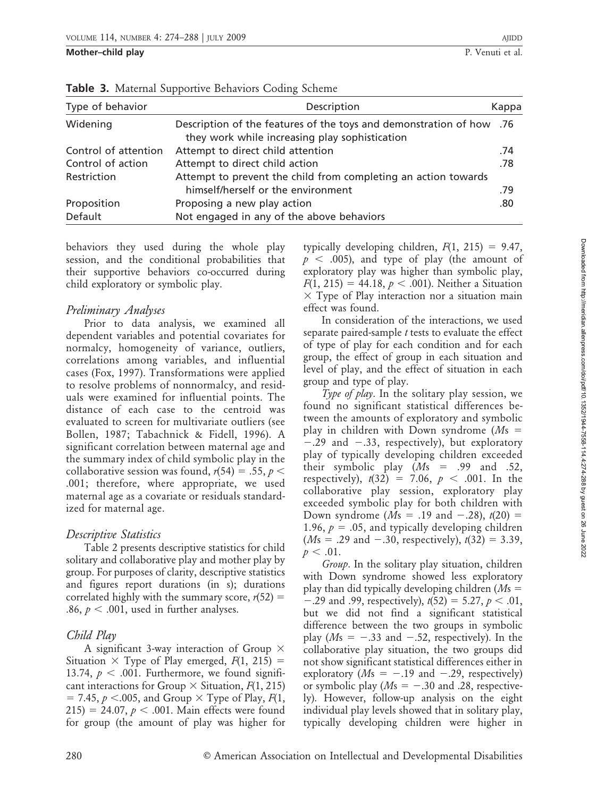| Type of behavior     | Description                                                                                                            | Kappa |
|----------------------|------------------------------------------------------------------------------------------------------------------------|-------|
| Widening             | Description of the features of the toys and demonstration of how .76<br>they work while increasing play sophistication |       |
| Control of attention | Attempt to direct child attention                                                                                      | .74   |
| Control of action    | Attempt to direct child action                                                                                         | .78   |
| Restriction          | Attempt to prevent the child from completing an action towards<br>himself/herself or the environment                   | .79   |
| Proposition          | Proposing a new play action                                                                                            | .80   |
| Default              | Not engaged in any of the above behaviors                                                                              |       |

**Table 3.** Maternal Supportive Behaviors Coding Scheme

behaviors they used during the whole play session, and the conditional probabilities that their supportive behaviors co-occurred during child exploratory or symbolic play.

## Preliminary Analyses

Prior to data analysis, we examined all dependent variables and potential covariates for normalcy, homogeneity of variance, outliers, correlations among variables, and influential cases (Fox, 1997). Transformations were applied to resolve problems of nonnormalcy, and residuals were examined for influential points. The distance of each case to the centroid was evaluated to screen for multivariate outliers (see Bollen, 1987; Tabachnick & Fidell, 1996). A significant correlation between maternal age and the summary index of child symbolic play in the collaborative session was found,  $r(54) = .55$ ,  $p <$ .001; therefore, where appropriate, we used maternal age as a covariate or residuals standardized for maternal age.

## Descriptive Statistics

Table 2 presents descriptive statistics for child solitary and collaborative play and mother play by group. For purposes of clarity, descriptive statistics and figures report durations (in s); durations correlated highly with the summary score,  $r(52) =$ .86,  $p < .001$ , used in further analyses.

## Child Play

A significant 3-way interaction of Group  $\times$ Situation  $\times$  Type of Play emerged,  $F(1, 215)$  = 13.74,  $p < .001$ . Furthermore, we found significant interactions for Group  $\times$  Situation,  $F(1, 215)$  $= 7.45$ ,  $p < .005$ , and Group  $\times$  Type of Play,  $F(1, 1)$ 215) = 24.07,  $p < .001$ . Main effects were found for group (the amount of play was higher for

typically developing children,  $F(1, 215) = 9.47$ ,  $p < .005$ ), and type of play (the amount of exploratory play was higher than symbolic play,  $F(1, 215) = 44.18, p < .001$ ). Neither a Situation  $\times$  Type of Play interaction nor a situation main effect was found.

In consideration of the interactions, we used separate paired-sample  $t$  tests to evaluate the effect of type of play for each condition and for each group, the effect of group in each situation and level of play, and the effect of situation in each group and type of play.

Type of play. In the solitary play session, we found no significant statistical differences between the amounts of exploratory and symbolic play in children with Down syndrome ( $Ms =$  $-0.29$  and  $-0.33$ , respectively), but exploratory play of typically developing children exceeded their symbolic play  $(Ms = .99$  and .52, respectively),  $t(32) = 7.06, p < .001$ . In the collaborative play session, exploratory play exceeded symbolic play for both children with Down syndrome ( $Ms = .19$  and  $-.28$ ),  $t(20) =$ 1.96,  $p = .05$ , and typically developing children  $(Ms = .29 \text{ and } -.30,$  respectively),  $t(32) = 3.39$ ,  $p < .01$ .

Group. In the solitary play situation, children with Down syndrome showed less exploratory play than did typically developing children ( $Ms =$  $-0.29$  and 0.99, respectively),  $t(52) = 5.27, p < .01$ , but we did not find a significant statistical difference between the two groups in symbolic play ( $Ms = -.33$  and  $-.52$ , respectively). In the collaborative play situation, the two groups did not show significant statistical differences either in exploratory ( $Ms = -.19$  and  $-.29$ , respectively) or symbolic play  $(Ms = -.30$  and .28, respectively). However, follow-up analysis on the eight individual play levels showed that in solitary play, typically developing children were higher in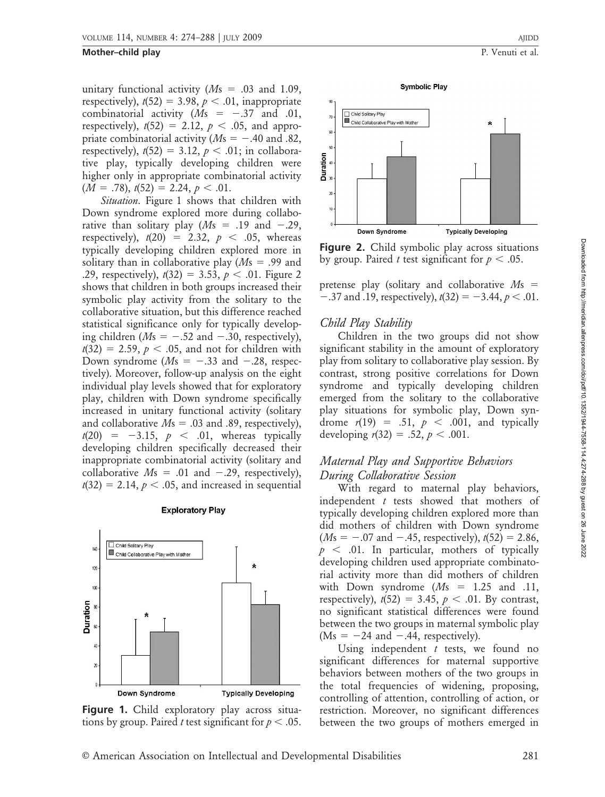#### **Mother–child play** P. Venuti et al.

unitary functional activity  $(Ms = .03$  and 1.09, respectively),  $t(52) = 3.98$ ,  $p < .01$ , inappropriate combinatorial activity  $(Ms = -0.37$  and .01, respectively),  $t(52) = 2.12$ ,  $p < .05$ , and appropriate combinatorial activity ( $Ms = -.40$  and .82, respectively),  $t(52) = 3.12$ ,  $p < .01$ ; in collaborative play, typically developing children were higher only in appropriate combinatorial activity  $(M = .78), t(52) = 2.24, p < .01.$ 

Situation. Figure 1 shows that children with Down syndrome explored more during collaborative than solitary play  $(Ms = .19$  and  $-.29$ , respectively),  $t(20) = 2.32$ ,  $p < .05$ , whereas typically developing children explored more in solitary than in collaborative play  $(Ms = .99$  and .29, respectively),  $t(32) = 3.53$ ,  $p < .01$ . Figure 2 shows that children in both groups increased their symbolic play activity from the solitary to the collaborative situation, but this difference reached statistical significance only for typically developing children ( $Ms = -.52$  and  $-.30$ , respectively),  $t(32) = 2.59$ ,  $p < .05$ , and not for children with Down syndrome ( $Ms = -.33$  and  $-.28$ , respectively). Moreover, follow-up analysis on the eight individual play levels showed that for exploratory play, children with Down syndrome specifically increased in unitary functional activity (solitary and collaborative  $Ms = .03$  and .89, respectively),  $t(20) = -3.15, p < .01,$  whereas typically developing children specifically decreased their inappropriate combinatorial activity (solitary and collaborative  $Ms = .01$  and  $-.29$ , respectively),  $t(32) = 2.14$ ,  $p < .05$ , and increased in sequential

#### **Exploratory Play**



Figure 1. Child exploratory play across situations by group. Paired *t* test significant for  $p < .05$ .



**Figure 2.** Child symbolic play across situations by group. Paired *t* test significant for  $p < .05$ .

pretense play (solitary and collaborative  $Ms =$  $-0.37$  and  $.19$ , respectively),  $t(32) = -3.44$ ,  $p < .01$ .

#### Child Play Stability

Children in the two groups did not show significant stability in the amount of exploratory play from solitary to collaborative play session. By contrast, strong positive correlations for Down syndrome and typically developing children emerged from the solitary to the collaborative play situations for symbolic play, Down syndrome  $r(19) = .51$ ,  $p < .001$ , and typically developing  $r(32) = .52, p < .001$ .

## Maternal Play and Supportive Behaviors During Collaborative Session

With regard to maternal play behaviors, independent t tests showed that mothers of typically developing children explored more than did mothers of children with Down syndrome  $(Ms = -.07$  and  $-.45$ , respectively),  $t(52) = 2.86$ ,  $p \leq 0.01$ . In particular, mothers of typically developing children used appropriate combinatorial activity more than did mothers of children with Down syndrome  $(Ms = 1.25$  and .11, respectively),  $t(52) = 3.45$ ,  $p < .01$ . By contrast, no significant statistical differences were found between the two groups in maternal symbolic play  $(Ms = -24$  and  $-.44$ , respectively).

Using independent  $t$  tests, we found no significant differences for maternal supportive behaviors between mothers of the two groups in the total frequencies of widening, proposing, controlling of attention, controlling of action, or restriction. Moreover, no significant differences between the two groups of mothers emerged in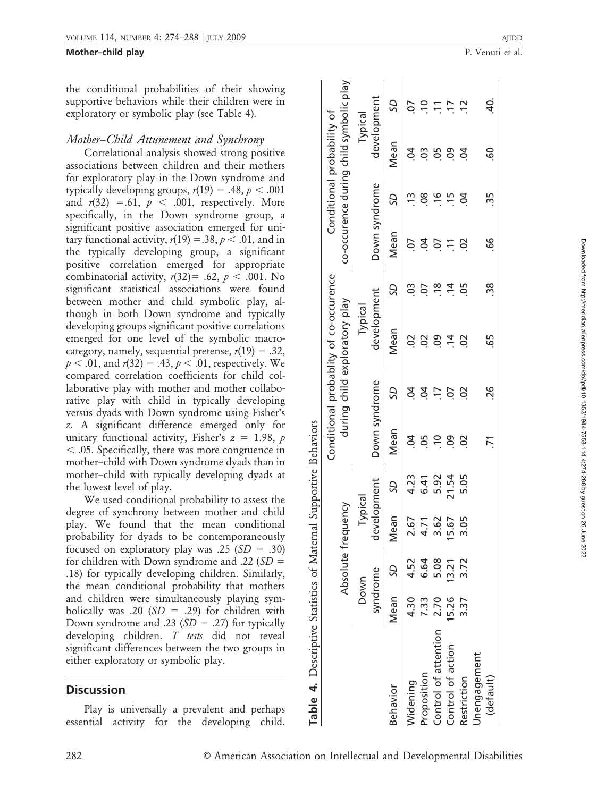**Mother–child play** P. Venuti et al.

the conditional probabilities of their showing supportive behaviors while their children were in exploratory or symbolic play (see Table 4).

## Mother–Child Attunement and Synchrony

Correlational analysis showed strong positive associations between children and their mothers for exploratory play in the Down syndrome and typically developing groups,  $r(19) = .48$ ,  $p < .001$ and  $r(32) = .61$ ,  $p < .001$ , respectively. More specifically, in the Down syndrome group, a significant positive association emerged for unitary functional activity,  $r(19) = .38$ ,  $p < .01$ , and in the typically developing group, a significant positive correlation emerged for appropriate combinatorial activity,  $r(32) = .62$ ,  $p < .001$ . No significant statistical associations were found between mother and child symbolic play, although in both Down syndrome and typically developing groups significant positive correlations emerged for one level of the symbolic macrocategory, namely, sequential pretense,  $r(19) = .32$ ,  $p < .01$ , and  $r(32) = .43, p < .01$ , respectively. We compared correlation coefficients for child collaborative play with mother and mother collaborative play with child in typically developing versus dyads with Down syndrome using Fisher's z. A significant difference emerged only for unitary functional activity, Fisher's  $z = 1.98$ , p  $<$  .05. Specifically, there was more congruence in mother–child with Down syndrome dyads than in mother–child with typically developing dyads at the lowest level of play.

We used conditional probability to assess the degree of synchrony between mother and child play. We found that the mean conditional probability for dyads to be contemporaneously focused on exploratory play was .25  $(SD = .30)$ for children with Down syndrome and .22 ( $SD =$ .18) for typically developing children. Similarly, the mean conditional probability that mothers and children were simultaneously playing symbolically was .20 ( $SD = .29$ ) for children with Down syndrome and .23  $(SD = .27)$  for typically developing children. T tests did not reveal significant differences between the two groups in either exploratory or symbolic play.

## **Discussion**

Play is universally a prevalent and perhaps essential activity for the developing child.

co-occurence during child symbolic play co-occurence during child symbolic play development development **SD** Mean SD Mean SD Mean SD Mean SD Mean SD Mean SD CO. Widening 4.30 4.52 2.67 4.23 .04 .04 .02 .03 .07 .13 .04 .07  $\tilde{=}$ Proposition 7.33 6.64 4.71 6.41 .05 .04 .02 .07 .04 .08 .03 .10 Typical probability of Conditional probability of Mean 39983 Conditional Down syndrome development Down syndrome S<sub>D</sub>  $\frac{10}{28}$   $\frac{10}{2}$ Mean  $5857$ Conditional probablity of co-occurence co-occurence  $9.58$ S development during child exploratory play child exploratory play Typical Mean  $0.0870$  $\overline{\sigma}$ probablity Down syndrome development Down syndrome S<sub>D</sub>  $33 - 53$ Conditional during 4. Descriptive Statistics of Maternal Supportive Behaviors Table 4. Descriptive Statistics of Maternal Supportive Behaviors Mean  $392$ development  $6.41$ SD Typical Absolute frequency Absolute frequency Mean 2.67 4.71 6.64 SD syndrome Down Mean 4.30 7.33 Proposition Widening Behavior Behavior  $\mathbf 0$ 

Control of attention 2.70 5.08 3.62 .10 .17 .17 .18 .18 .16 .16 .15 .15 .11 Control of action 15.26 13.21 15.67 21.54 .09 .07 .14 .14 .11 .15 .09 .17 Restriction 3.37 3.37 3.37 3.05 5.05 .02 .02 .05 .05 .02 .05 .04 .04 .04 .12

5.92

3.62 15.67 3.05

5.08

2.70 5.26

Control of attention Control of action

 $3.21$ 

 $3.37$ 

 $21.54$ 

88

(default) .71 .26 .65 .38 .66 .35 .60 .40.

 $\overline{7}$ 

26

Unengagement

(default)

Unengagement

Restriction

 $\overline{5}$ 

င္ပ

55

99

38

65

 $\overline{a}$  $\overline{1}$  $\tilde{c}$ 

 $\frac{15}{2}$ 

 $\overline{4}$ 

ី

S

50

Tabl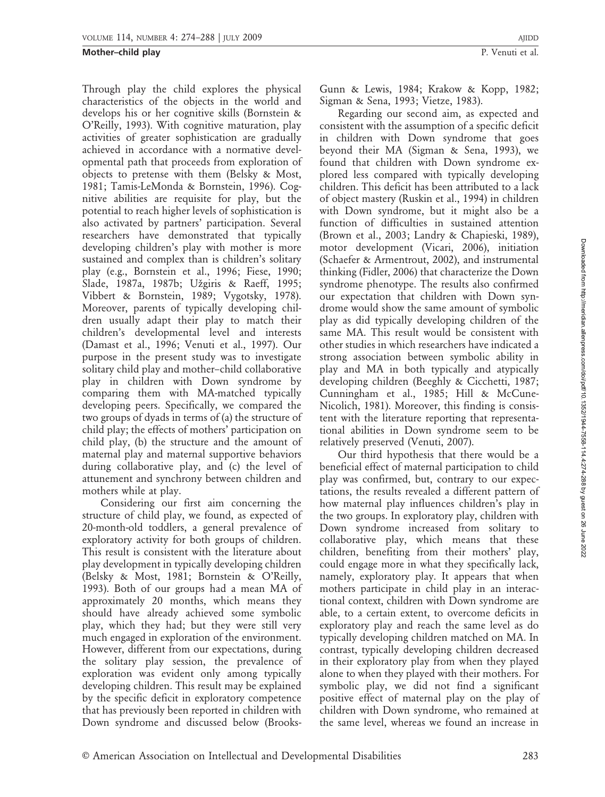Through play the child explores the physical characteristics of the objects in the world and develops his or her cognitive skills (Bornstein & O'Reilly, 1993). With cognitive maturation, play activities of greater sophistication are gradually achieved in accordance with a normative developmental path that proceeds from exploration of objects to pretense with them (Belsky & Most, 1981; Tamis-LeMonda & Bornstein, 1996). Cognitive abilities are requisite for play, but the potential to reach higher levels of sophistication is also activated by partners' participation. Several researchers have demonstrated that typically developing children's play with mother is more sustained and complex than is children's solitary play (e.g., Bornstein et al., 1996; Fiese, 1990; Slade, 1987a, 1987b; Užgiris & Raeff, 1995; Vibbert & Bornstein, 1989; Vygotsky, 1978). Moreover, parents of typically developing children usually adapt their play to match their children's developmental level and interests (Damast et al., 1996; Venuti et al., 1997). Our purpose in the present study was to investigate solitary child play and mother–child collaborative play in children with Down syndrome by comparing them with MA-matched typically developing peers. Specifically, we compared the two groups of dyads in terms of (a) the structure of child play; the effects of mothers' participation on child play, (b) the structure and the amount of maternal play and maternal supportive behaviors during collaborative play, and (c) the level of attunement and synchrony between children and mothers while at play.

Considering our first aim concerning the structure of child play, we found, as expected of 20-month-old toddlers, a general prevalence of exploratory activity for both groups of children. This result is consistent with the literature about play development in typically developing children (Belsky & Most, 1981; Bornstein & O'Reilly, 1993). Both of our groups had a mean MA of approximately 20 months, which means they should have already achieved some symbolic play, which they had; but they were still very much engaged in exploration of the environment. However, different from our expectations, during the solitary play session, the prevalence of exploration was evident only among typically developing children. This result may be explained by the specific deficit in exploratory competence that has previously been reported in children with Down syndrome and discussed below (BrooksGunn & Lewis, 1984; Krakow & Kopp, 1982; Sigman & Sena, 1993; Vietze, 1983).

Regarding our second aim, as expected and consistent with the assumption of a specific deficit in children with Down syndrome that goes beyond their MA (Sigman & Sena, 1993), we found that children with Down syndrome explored less compared with typically developing children. This deficit has been attributed to a lack of object mastery (Ruskin et al., 1994) in children with Down syndrome, but it might also be a function of difficulties in sustained attention (Brown et al., 2003; Landry & Chapieski, 1989), motor development (Vicari, 2006), initiation (Schaefer & Armentrout, 2002), and instrumental thinking (Fidler, 2006) that characterize the Down syndrome phenotype. The results also confirmed our expectation that children with Down syndrome would show the same amount of symbolic play as did typically developing children of the same MA. This result would be consistent with other studies in which researchers have indicated a strong association between symbolic ability in play and MA in both typically and atypically developing children (Beeghly & Cicchetti, 1987; Cunningham et al., 1985; Hill & McCune-Nicolich, 1981). Moreover, this finding is consistent with the literature reporting that representational abilities in Down syndrome seem to be relatively preserved (Venuti, 2007).

Our third hypothesis that there would be a beneficial effect of maternal participation to child play was confirmed, but, contrary to our expectations, the results revealed a different pattern of how maternal play influences children's play in the two groups. In exploratory play, children with Down syndrome increased from solitary to collaborative play, which means that these children, benefiting from their mothers' play, could engage more in what they specifically lack, namely, exploratory play. It appears that when mothers participate in child play in an interactional context, children with Down syndrome are able, to a certain extent, to overcome deficits in exploratory play and reach the same level as do typically developing children matched on MA. In contrast, typically developing children decreased in their exploratory play from when they played alone to when they played with their mothers. For symbolic play, we did not find a significant positive effect of maternal play on the play of children with Down syndrome, who remained at the same level, whereas we found an increase in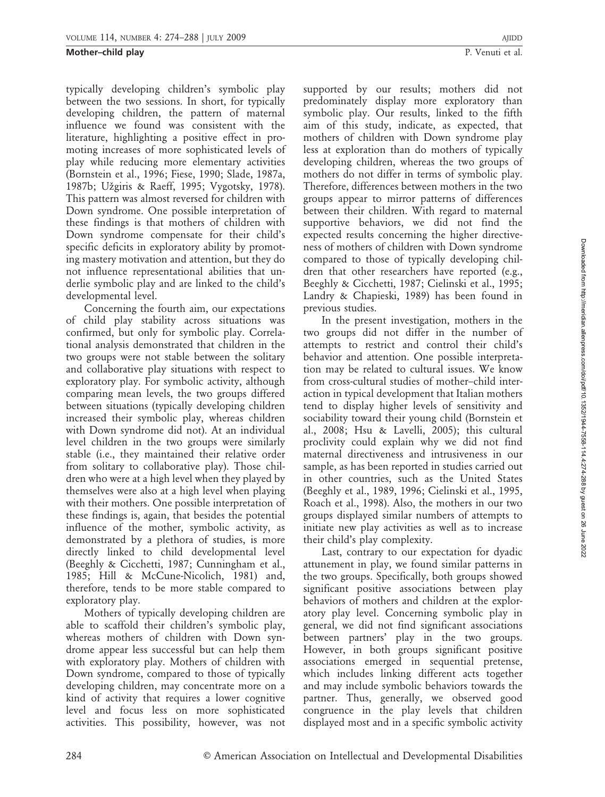typically developing children's symbolic play between the two sessions. In short, for typically developing children, the pattern of maternal influence we found was consistent with the literature, highlighting a positive effect in promoting increases of more sophisticated levels of play while reducing more elementary activities (Bornstein et al., 1996; Fiese, 1990; Slade, 1987a, 1987b; Užgiris & Raeff, 1995; Vygotsky, 1978). This pattern was almost reversed for children with Down syndrome. One possible interpretation of these findings is that mothers of children with Down syndrome compensate for their child's specific deficits in exploratory ability by promoting mastery motivation and attention, but they do not influence representational abilities that underlie symbolic play and are linked to the child's developmental level.

Concerning the fourth aim, our expectations of child play stability across situations was confirmed, but only for symbolic play. Correlational analysis demonstrated that children in the two groups were not stable between the solitary and collaborative play situations with respect to exploratory play. For symbolic activity, although comparing mean levels, the two groups differed between situations (typically developing children increased their symbolic play, whereas children with Down syndrome did not). At an individual level children in the two groups were similarly stable (i.e., they maintained their relative order from solitary to collaborative play). Those children who were at a high level when they played by themselves were also at a high level when playing with their mothers. One possible interpretation of these findings is, again, that besides the potential influence of the mother, symbolic activity, as demonstrated by a plethora of studies, is more directly linked to child developmental level (Beeghly & Cicchetti, 1987; Cunningham et al., 1985; Hill & McCune-Nicolich, 1981) and, therefore, tends to be more stable compared to exploratory play.

Mothers of typically developing children are able to scaffold their children's symbolic play, whereas mothers of children with Down syndrome appear less successful but can help them with exploratory play. Mothers of children with Down syndrome, compared to those of typically developing children, may concentrate more on a kind of activity that requires a lower cognitive level and focus less on more sophisticated activities. This possibility, however, was not

supported by our results; mothers did not predominately display more exploratory than symbolic play. Our results, linked to the fifth aim of this study, indicate, as expected, that mothers of children with Down syndrome play less at exploration than do mothers of typically developing children, whereas the two groups of mothers do not differ in terms of symbolic play. Therefore, differences between mothers in the two groups appear to mirror patterns of differences between their children. With regard to maternal supportive behaviors, we did not find the expected results concerning the higher directiveness of mothers of children with Down syndrome compared to those of typically developing children that other researchers have reported (e.g., Beeghly & Cicchetti, 1987; Cielinski et al., 1995; Landry & Chapieski, 1989) has been found in previous studies.

In the present investigation, mothers in the two groups did not differ in the number of attempts to restrict and control their child's behavior and attention. One possible interpretation may be related to cultural issues. We know from cross-cultural studies of mother–child interaction in typical development that Italian mothers tend to display higher levels of sensitivity and sociability toward their young child (Bornstein et al., 2008; Hsu & Lavelli, 2005); this cultural proclivity could explain why we did not find maternal directiveness and intrusiveness in our sample, as has been reported in studies carried out in other countries, such as the United States (Beeghly et al., 1989, 1996; Cielinski et al., 1995, Roach et al., 1998). Also, the mothers in our two groups displayed similar numbers of attempts to initiate new play activities as well as to increase their child's play complexity.

Last, contrary to our expectation for dyadic attunement in play, we found similar patterns in the two groups. Specifically, both groups showed significant positive associations between play behaviors of mothers and children at the exploratory play level. Concerning symbolic play in general, we did not find significant associations between partners' play in the two groups. However, in both groups significant positive associations emerged in sequential pretense, which includes linking different acts together and may include symbolic behaviors towards the partner. Thus, generally, we observed good congruence in the play levels that children displayed most and in a specific symbolic activity

Downloaded from http://meridian.allenpress.com/doi/pdf/10.1352/1944-7558-114.4:274-288 by guest on 26 June Downloaded from http://meridian.allenpress.com/doi/pdf/10.1352/1944-7558-114.4:274-288 by guest on 26 June 2022

2022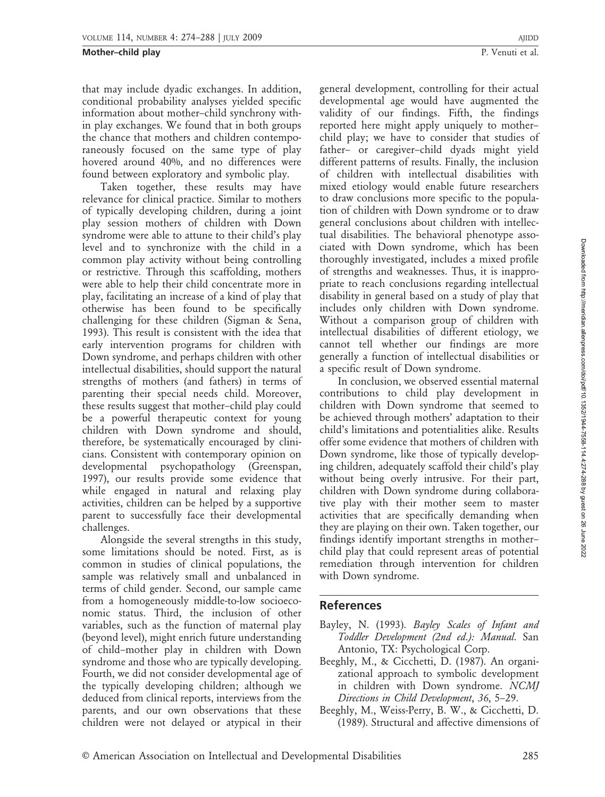that may include dyadic exchanges. In addition, conditional probability analyses yielded specific information about mother–child synchrony within play exchanges. We found that in both groups the chance that mothers and children contemporaneously focused on the same type of play hovered around 40%, and no differences were found between exploratory and symbolic play.

Taken together, these results may have relevance for clinical practice. Similar to mothers of typically developing children, during a joint play session mothers of children with Down syndrome were able to attune to their child's play level and to synchronize with the child in a common play activity without being controlling or restrictive. Through this scaffolding, mothers were able to help their child concentrate more in play, facilitating an increase of a kind of play that otherwise has been found to be specifically challenging for these children (Sigman & Sena, 1993). This result is consistent with the idea that early intervention programs for children with Down syndrome, and perhaps children with other intellectual disabilities, should support the natural strengths of mothers (and fathers) in terms of parenting their special needs child. Moreover, these results suggest that mother–child play could be a powerful therapeutic context for young children with Down syndrome and should, therefore, be systematically encouraged by clinicians. Consistent with contemporary opinion on developmental psychopathology (Greenspan, 1997), our results provide some evidence that while engaged in natural and relaxing play activities, children can be helped by a supportive parent to successfully face their developmental challenges.

Alongside the several strengths in this study, some limitations should be noted. First, as is common in studies of clinical populations, the sample was relatively small and unbalanced in terms of child gender. Second, our sample came from a homogeneously middle-to-low socioeconomic status. Third, the inclusion of other variables, such as the function of maternal play (beyond level), might enrich future understanding of child–mother play in children with Down syndrome and those who are typically developing. Fourth, we did not consider developmental age of the typically developing children; although we deduced from clinical reports, interviews from the parents, and our own observations that these children were not delayed or atypical in their

general development, controlling for their actual developmental age would have augmented the validity of our findings. Fifth, the findings reported here might apply uniquely to mother– child play; we have to consider that studies of father– or caregiver–child dyads might yield different patterns of results. Finally, the inclusion of children with intellectual disabilities with mixed etiology would enable future researchers to draw conclusions more specific to the population of children with Down syndrome or to draw general conclusions about children with intellectual disabilities. The behavioral phenotype associated with Down syndrome, which has been thoroughly investigated, includes a mixed profile of strengths and weaknesses. Thus, it is inappropriate to reach conclusions regarding intellectual disability in general based on a study of play that includes only children with Down syndrome. Without a comparison group of children with intellectual disabilities of different etiology, we cannot tell whether our findings are more

a specific result of Down syndrome. In conclusion, we observed essential maternal contributions to child play development in children with Down syndrome that seemed to be achieved through mothers' adaptation to their child's limitations and potentialities alike. Results offer some evidence that mothers of children with Down syndrome, like those of typically developing children, adequately scaffold their child's play without being overly intrusive. For their part, children with Down syndrome during collaborative play with their mother seem to master activities that are specifically demanding when they are playing on their own. Taken together, our findings identify important strengths in mother– child play that could represent areas of potential remediation through intervention for children with Down syndrome.

generally a function of intellectual disabilities or

## References

- Bayley, N. (1993). Bayley Scales of Infant and Toddler Development (2nd ed.): Manual. San Antonio, TX: Psychological Corp.
- Beeghly, M., & Cicchetti, D. (1987). An organizational approach to symbolic development in children with Down syndrome. NCMJ Directions in Child Development, 36, 5–29.
- Beeghly, M., Weiss-Perry, B. W., & Cicchetti, D. (1989). Structural and affective dimensions of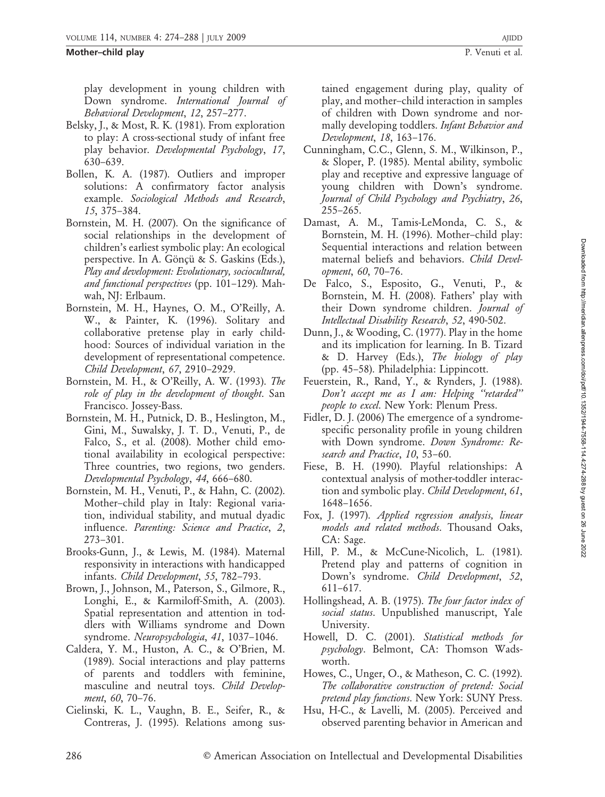play development in young children with Down syndrome. International Journal of Behavioral Development, 12, 257–277.

- Belsky, J., & Most, R. K. (1981). From exploration to play: A cross-sectional study of infant free play behavior. Developmental Psychology, 17, 630–639.
- Bollen, K. A. (1987). Outliers and improper solutions: A confirmatory factor analysis example. Sociological Methods and Research, 15, 375–384.
- Bornstein, M. H. (2007). On the significance of social relationships in the development of children's earliest symbolic play: An ecological perspective. In A. Gönçü & S. Gaskins (Eds.), Play and development: Evolutionary, sociocultural, and functional perspectives (pp. 101–129). Mahwah, NJ: Erlbaum.
- Bornstein, M. H., Haynes, O. M., O'Reilly, A. W., & Painter, K. (1996). Solitary and collaborative pretense play in early childhood: Sources of individual variation in the development of representational competence. Child Development, 67, 2910–2929.
- Bornstein, M. H., & O'Reilly, A. W. (1993). The role of play in the development of thought. San Francisco. Jossey-Bass.
- Bornstein, M. H., Putnick, D. B., Heslington, M., Gini, M., Suwalsky, J. T. D., Venuti, P., de Falco, S., et al. (2008). Mother child emotional availability in ecological perspective: Three countries, two regions, two genders. Developmental Psychology, 44, 666–680.
- Bornstein, M. H., Venuti, P., & Hahn, C. (2002). Mother–child play in Italy: Regional variation, individual stability, and mutual dyadic influence. Parenting: Science and Practice, 2, 273–301.
- Brooks-Gunn, J., & Lewis, M. (1984). Maternal responsivity in interactions with handicapped infants. Child Development, 55, 782–793.
- Brown, J., Johnson, M., Paterson, S., Gilmore, R., Longhi, E., & Karmiloff-Smith, A. (2003). Spatial representation and attention in toddlers with Williams syndrome and Down syndrome. Neuropsychologia, 41, 1037–1046.
- Caldera, Y. M., Huston, A. C., & O'Brien, M. (1989). Social interactions and play patterns of parents and toddlers with feminine, masculine and neutral toys. Child Development, 60, 70–76.
- Cielinski, K. L., Vaughn, B. E., Seifer, R., & Contreras, J. (1995). Relations among sus-

tained engagement during play, quality of play, and mother–child interaction in samples of children with Down syndrome and normally developing toddlers. Infant Behavior and Development, 18, 163–176.

- Cunningham, C.C., Glenn, S. M., Wilkinson, P., & Sloper, P. (1985). Mental ability, symbolic play and receptive and expressive language of young children with Down's syndrome. Journal of Child Psychology and Psychiatry, 26, 255–265.
- Damast, A. M., Tamis-LeMonda, C. S., & Bornstein, M. H. (1996). Mother–child play: Sequential interactions and relation between maternal beliefs and behaviors. Child Development, 60, 70–76.
- De Falco, S., Esposito, G., Venuti, P., & Bornstein, M. H. (2008). Fathers' play with their Down syndrome children. Journal of Intellectual Disability Research, 52, 490-502.
- Dunn, J., & Wooding, C. (1977). Play in the home and its implication for learning. In B. Tizard & D. Harvey (Eds.), The biology of play (pp. 45–58). Philadelphia: Lippincott.
- Feuerstein, R., Rand, Y., & Rynders, J. (1988). Don't accept me as I am: Helping ''retarded'' people to excel. New York: Plenum Press.
- Fidler, D. J. (2006) The emergence of a syndromespecific personality profile in young children with Down syndrome. *Down Syndrome: Re*search and Practice, 10, 53–60.
- Fiese, B. H. (1990). Playful relationships: A contextual analysis of mother-toddler interaction and symbolic play. *Child Development*, 61, 1648–1656.
- Fox, J. (1997). Applied regression analysis, linear models and related methods. Thousand Oaks, CA: Sage.
- Hill, P. M., & McCune-Nicolich, L. (1981). Pretend play and patterns of cognition in Down's syndrome. Child Development, 52, 611–617.
- Hollingshead, A. B. (1975). The four factor index of social status. Unpublished manuscript, Yale University.
- Howell, D. C. (2001). Statistical methods for psychology. Belmont, CA: Thomson Wadsworth.
- Howes, C., Unger, O., & Matheson, C. C. (1992). The collaborative construction of pretend: Social pretend play functions. New York: SUNY Press.
- Hsu, H-C., & Lavelli, M. (2005). Perceived and observed parenting behavior in American and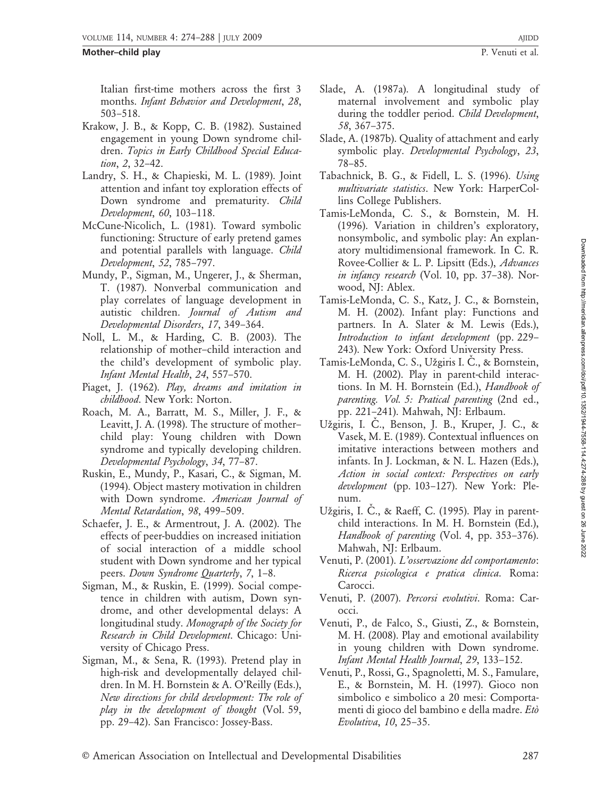Italian first-time mothers across the first 3 months. Infant Behavior and Development, 28, 503–518.

- Krakow, J. B., & Kopp, C. B. (1982). Sustained engagement in young Down syndrome children. Topics in Early Childhood Special Education, 2, 32–42.
- Landry, S. H., & Chapieski, M. L. (1989). Joint attention and infant toy exploration effects of Down syndrome and prematurity. Child Development, 60, 103–118.
- McCune-Nicolich, L. (1981). Toward symbolic functioning: Structure of early pretend games and potential parallels with language. Child Development, 52, 785–797.
- Mundy, P., Sigman, M., Ungerer, J., & Sherman, T. (1987). Nonverbal communication and play correlates of language development in autistic children. Journal of Autism and Developmental Disorders, 17, 349–364.
- Noll, L. M., & Harding, C. B. (2003). The relationship of mother–child interaction and the child's development of symbolic play. Infant Mental Health, 24, 557–570.
- Piaget, J. (1962). Play, dreams and imitation in childhood. New York: Norton.
- Roach, M. A., Barratt, M. S., Miller, J. F., & Leavitt, J. A. (1998). The structure of mother– child play: Young children with Down syndrome and typically developing children. Developmental Psychology, 34, 77–87.
- Ruskin, E., Mundy, P., Kasari, C., & Sigman, M. (1994). Object mastery motivation in children with Down syndrome. American Journal of Mental Retardation, 98, 499–509.
- Schaefer, J. E., & Armentrout, J. A. (2002). The effects of peer-buddies on increased initiation of social interaction of a middle school student with Down syndrome and her typical peers. Down Syndrome Quarterly, 7, 1–8.
- Sigman, M., & Ruskin, E. (1999). Social competence in children with autism, Down syndrome, and other developmental delays: A longitudinal study. Monograph of the Society for Research in Child Development. Chicago: University of Chicago Press.
- Sigman, M., & Sena, R. (1993). Pretend play in high-risk and developmentally delayed children. In M. H. Bornstein & A. O'Reilly (Eds.), New directions for child development: The role of play in the development of thought (Vol. 59, pp. 29–42). San Francisco: Jossey-Bass.
- Slade, A. (1987a). A longitudinal study of maternal involvement and symbolic play during the toddler period. Child Development, 58, 367–375.
- Slade, A. (1987b). Quality of attachment and early symbolic play. Developmental Psychology, 23, 78–85.
- Tabachnick, B. G., & Fidell, L. S. (1996). Using multivariate statistics. New York: HarperCollins College Publishers.
- Tamis-LeMonda, C. S., & Bornstein, M. H. (1996). Variation in children's exploratory, nonsymbolic, and symbolic play: An explanatory multidimensional framework. In C. R. Rovee-Collier & L. P. Lipsitt (Eds.), Advances in infancy research (Vol. 10, pp. 37-38). Norwood, NJ: Ablex.
- Tamis-LeMonda, C. S., Katz, J. C., & Bornstein, M. H. (2002). Infant play: Functions and partners. In A. Slater & M. Lewis (Eds.), Introduction to infant development (pp. 229– 243). New York: Oxford University Press.
- Tamis-LeMonda, C. S., Užgiris I. C., & Bornstein, M. H. (2002). Play in parent-child interactions. In M. H. Bornstein (Ed.), Handbook of parenting. Vol. 5: Pratical parenting (2nd ed., pp. 221–241). Mahwah, NJ: Erlbaum.
- Užgiris, I. C., Benson, J. B., Kruper, J. C., & Vasek, M. E. (1989). Contextual influences on imitative interactions between mothers and infants. In J. Lockman, & N. L. Hazen (Eds.), Action in social context: Perspectives on early development (pp. 103-127). New York: Plenum.
- Užgiris, I. C., & Raeff, C. (1995). Play in parentchild interactions. In M. H. Bornstein (Ed.), Handbook of parenting (Vol. 4, pp. 353-376). Mahwah, NJ: Erlbaum.
- Venuti, P. (2001). L'osservazione del comportamento: Ricerca psicologica e pratica clinica. Roma: Carocci.
- Venuti, P. (2007). Percorsi evolutivi. Roma: Carocci.
- Venuti, P., de Falco, S., Giusti, Z., & Bornstein, M. H. (2008). Play and emotional availability in young children with Down syndrome. Infant Mental Health Journal, 29, 133–152.
- Venuti, P., Rossi, G., Spagnoletti, M. S., Famulare, E., & Bornstein, M. H. (1997). Gioco non simbolico e simbolico a 20 mesi: Comportamenti di gioco del bambino e della madre. Etò Evolutiva, 10, 25–35.

Downloaded from http://meridian.allenpress.com/doi/pdf/10.1352/1944-7558-114.4:274-288 by guest on 26 June 2022 Downloaded from http://meridian.allenpress.com/doi/pdf/10.1352/1944-7558-114.4:274-288 by guest on 26 June 2022